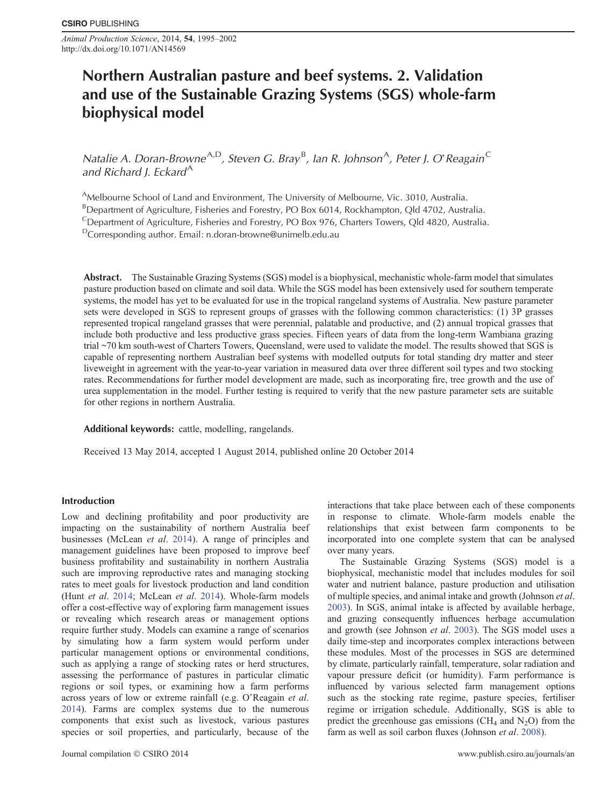*Animal Production Science*, 2014, **54**, 1995–2002 http://dx.doi.org/10.1071/AN14569

# **Northern Australian pasture and beef systems. 2. Validation and use of the Sustainable Grazing Systems (SGS) whole-farm biophysical model**

*Natalie A. Doran-Browne<sup>A,D</sup>, Steven G. Bray<sup>B</sup>, Ian R. Johnson<sup>A</sup>, Peter J. O'<sup>Reagain</sub><sup>C</sup>*</sup> and Richard *J. Eckard*<sup>A</sup>

AMelbourne School of Land and Environment, The University of Melbourne, Vic. 3010, Australia.

<sup>B</sup>Department of Agriculture, Fisheries and Forestry, PO Box 6014, Rockhampton, Qld 4702, Australia.

<sup>C</sup>Department of Agriculture, Fisheries and Forestry, PO Box 976, Charters Towers, Qld 4820, Australia.

DCorresponding author. Email: [n.doran-browne@unimelb.edu.au](mailto:n.doran-browne@unimelb.edu.au)

**Abstract.** The Sustainable Grazing Systems (SGS) model is a biophysical, mechanistic whole-farm model that simulates pasture production based on climate and soil data. While the SGS model has been extensively used for southern temperate systems, the model has yet to be evaluated for use in the tropical rangeland systems of Australia. New pasture parameter sets were developed in SGS to represent groups of grasses with the following common characteristics: (1) 3P grasses represented tropical rangeland grasses that were perennial, palatable and productive, and (2) annual tropical grasses that include both productive and less productive grass species. Fifteen years of data from the long-term Wambiana grazing trial ~70 km south-west of Charters Towers, Queensland, were used to validate the model. The results showed that SGS is capable of representing northern Australian beef systems with modelled outputs for total standing dry matter and steer liveweight in agreement with the year-to-year variation in measured data over three different soil types and two stocking rates. Recommendations for further model development are made, such as incorporating fire, tree growth and the use of urea supplementation in the model. Further testing is required to verify that the new pasture parameter sets are suitable for other regions in northern Australia.

### **Additional keywords:** cattle, modelling, rangelands.

Received 13 May 2014, accepted 1 August 2014, published online 20 October 2014

## **Introduction**

Low and declining profitability and poor productivity are impacting on the sustainability of northern Australia beef businesses (McLean *et al*. [2014\)](#page-7-0). A range of principles and management guidelines have been proposed to improve beef business profitability and sustainability in northern Australia such are improving reproductive rates and managing stocking rates to meet goals for livestock production and land condition (Hunt *et al*. [2014](#page-7-0); McLean *et al*. [2014\)](#page-7-0). Whole-farm models offer a cost-effective way of exploring farm management issues or revealing which research areas or management options require further study. Models can examine a range of scenarios by simulating how a farm system would perform under particular management options or environmental conditions, such as applying a range of stocking rates or herd structures, assessing the performance of pastures in particular climatic regions or soil types, or examining how a farm performs across years of low or extreme rainfall (e.g. O'Reagain *et al*. [2014](#page-7-0)). Farms are complex systems due to the numerous components that exist such as livestock, various pastures species or soil properties, and particularly, because of the

interactions that take place between each of these components in response to climate. Whole-farm models enable the relationships that exist between farm components to be incorporated into one complete system that can be analysed over many years.

The Sustainable Grazing Systems (SGS) model is a biophysical, mechanistic model that includes modules for soil water and nutrient balance, pasture production and utilisation of multiple species, and animal intake and growth (Johnson *et al*. [2003\)](#page-7-0). In SGS, animal intake is affected by available herbage, and grazing consequently influences herbage accumulation and growth (see Johnson *et al*. [2003\)](#page-7-0). The SGS model uses a daily time-step and incorporates complex interactions between these modules. Most of the processes in SGS are determined by climate, particularly rainfall, temperature, solar radiation and vapour pressure deficit (or humidity). Farm performance is influenced by various selected farm management options such as the stocking rate regime, pasture species, fertiliser regime or irrigation schedule. Additionally, SGS is able to predict the greenhouse gas emissions (CH<sub>4</sub> and  $N_2O$ ) from the farm as well as soil carbon fluxes (Johnson *et al*. [2008\)](#page-7-0).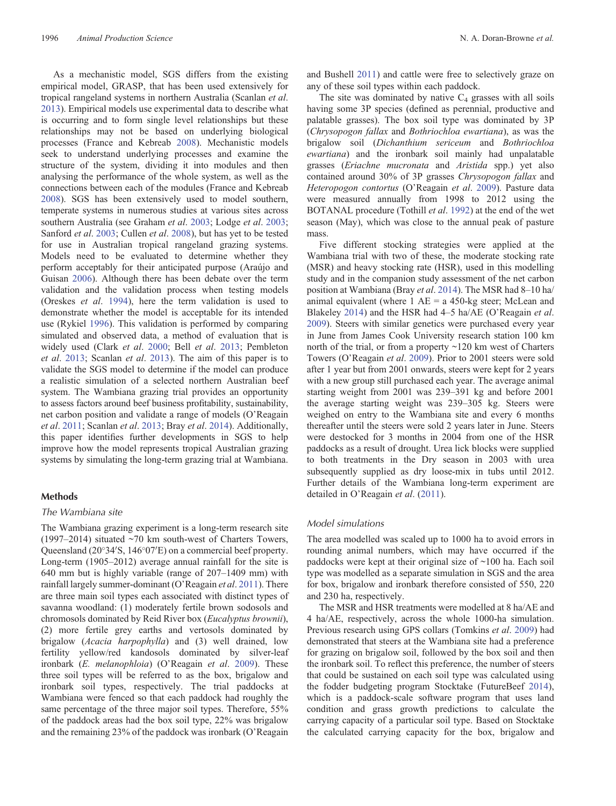As a mechanistic model, SGS differs from the existing empirical model, GRASP, that has been used extensively for tropical rangeland systems in northern Australia (Scanlan *et al*. [2013\)](#page-7-0). Empirical models use experimental data to describe what is occurring and to form single level relationships but these relationships may not be based on underlying biological processes (France and Kebreab [2008\)](#page-6-0). Mechanistic models seek to understand underlying processes and examine the structure of the system, dividing it into modules and then analysing the performance of the whole system, as well as the connections between each of the modules (France and Kebreab [2008\)](#page-6-0). SGS has been extensively used to model southern, temperate systems in numerous studies at various sites across southern Australia (see Graham *et al*. [2003](#page-6-0); Lodge *et al*. [2003](#page-7-0); Sanford *et al*. [2003;](#page-7-0) Cullen *et al*. [2008\)](#page-6-0), but has yet to be tested for use in Australian tropical rangeland grazing systems. Models need to be evaluated to determine whether they perform acceptably for their anticipated purpose (Araújo and Guisan [2006\)](#page-6-0). Although there has been debate over the term validation and the validation process when testing models (Oreskes *et al*. [1994\)](#page-7-0), here the term validation is used to demonstrate whether the model is acceptable for its intended use (Rykiel [1996](#page-7-0)). This validation is performed by comparing simulated and observed data, a method of evaluation that is widely used (Clark *et al*. [2000](#page-6-0); Bell *et al*. [2013;](#page-6-0) Pembleton *et al*. [2013](#page-7-0); Scanlan *et al*. [2013\)](#page-7-0). The aim of this paper is to validate the SGS model to determine if the model can produce a realistic simulation of a selected northern Australian beef system. The Wambiana grazing trial provides an opportunity to assess factors around beef business profitability, sustainability, net carbon position and validate a range of models (O'Reagain *et al*. [2011](#page-7-0); Scanlan *et al*. [2013](#page-7-0); Bray *et al*. [2014](#page-6-0)). Additionally, this paper identifies further developments in SGS to help improve how the model represents tropical Australian grazing systems by simulating the long-term grazing trial at Wambiana.

## **Methods**

### *The Wambiana site*

The Wambiana grazing experiment is a long-term research site (1997–2014) situated ~70 km south-west of Charters Towers, Queensland  $(20^{\circ}34'S, 146^{\circ}07'E)$  on a commercial beef property. Long-term (1905–2012) average annual rainfall for the site is 640 mm but is highly variable (range of 207–1409 mm) with rainfall largely summer-dominant (O'Reagain *et al*. [2011\)](#page-7-0). There are three main soil types each associated with distinct types of savanna woodland: (1) moderately fertile brown sodosols and chromosols dominated by Reid River box (*Eucalyptus brownii*), (2) more fertile grey earths and vertosols dominated by brigalow (*Acacia harpophylla*) and (3) well drained, low fertility yellow/red kandosols dominated by silver-leaf ironbark (*E. melanophloia*) (O'Reagain *et al*. [2009\)](#page-7-0). These three soil types will be referred to as the box, brigalow and ironbark soil types, respectively. The trial paddocks at Wambiana were fenced so that each paddock had roughly the same percentage of the three major soil types. Therefore, 55% of the paddock areas had the box soil type, 22% was brigalow and the remaining 23% of the paddock was ironbark (O'Reagain

and Bushell [2011](#page-7-0)) and cattle were free to selectively graze on any of these soil types within each paddock.

The site was dominated by native  $C_4$  grasses with all soils having some 3P species (defined as perennial, productive and palatable grasses). The box soil type was dominated by 3P (*Chrysopogon fallax* and *Bothriochloa ewartiana*), as was the brigalow soil (*Dichanthium sericeum* and *Bothriochloa ewartiana*) and the ironbark soil mainly had unpalatable grasses (*Eriachne mucronata* and *Aristida* spp.) yet also contained around 30% of 3P grasses *Chrysopogon fallax* and *Heteropogon contortus* (O'Reagain *et al*. [2009\)](#page-7-0). Pasture data were measured annually from 1998 to 2012 using the BOTANAL procedure (Tothill *et al*. [1992](#page-7-0)) at the end of the wet season (May), which was close to the annual peak of pasture mass.

Five different stocking strategies were applied at the Wambiana trial with two of these, the moderate stocking rate (MSR) and heavy stocking rate (HSR), used in this modelling study and in the companion study assessment of the net carbon position at Wambiana (Bray *et al*. [2014](#page-6-0)). The MSR had 8–10 ha/ animal equivalent (where  $1$  AE = a 450-kg steer; McLean and Blakeley [2014\)](#page-7-0) and the HSR had 4–5 ha/AE (O'Reagain *et al*. [2009\)](#page-7-0). Steers with similar genetics were purchased every year in June from James Cook University research station 100 km north of the trial, or from a property ~120 km west of Charters Towers (O'Reagain *et al*. [2009](#page-7-0)). Prior to 2001 steers were sold after 1 year but from 2001 onwards, steers were kept for 2 years with a new group still purchased each year. The average animal starting weight from 2001 was 239–391 kg and before 2001 the average starting weight was 239–305 kg. Steers were weighed on entry to the Wambiana site and every 6 months thereafter until the steers were sold 2 years later in June. Steers were destocked for 3 months in 2004 from one of the HSR paddocks as a result of drought. Urea lick blocks were supplied to both treatments in the Dry season in 2003 with urea subsequently supplied as dry loose-mix in tubs until 2012. Further details of the Wambiana long-term experiment are detailed in O'Reagain *et al*. ([2011\)](#page-7-0).

## *Model simulations*

The area modelled was scaled up to 1000 ha to avoid errors in rounding animal numbers, which may have occurred if the paddocks were kept at their original size of ~100 ha. Each soil type was modelled as a separate simulation in SGS and the area for box, brigalow and ironbark therefore consisted of 550, 220 and 230 ha, respectively.

The MSR and HSR treatments were modelled at 8 ha/AE and 4 ha/AE, respectively, across the whole 1000-ha simulation. Previous research using GPS collars (Tomkins *et al*. [2009](#page-7-0)) had demonstrated that steers at the Wambiana site had a preference for grazing on brigalow soil, followed by the box soil and then the ironbark soil. To reflect this preference, the number of steers that could be sustained on each soil type was calculated using the fodder budgeting program Stocktake (FutureBeef [2014](#page-6-0)), which is a paddock-scale software program that uses land condition and grass growth predictions to calculate the carrying capacity of a particular soil type. Based on Stocktake the calculated carrying capacity for the box, brigalow and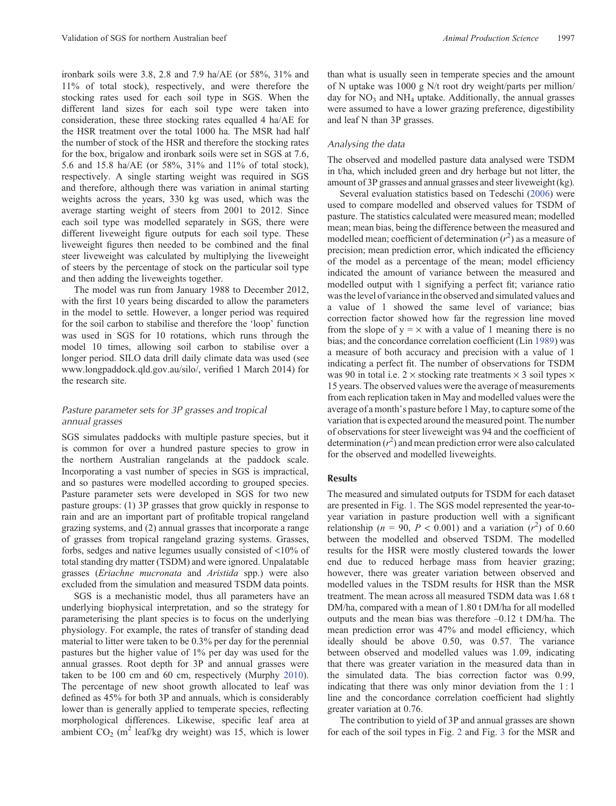ironbark soils were 3.8, 2.8 and 7.9 ha/AE (or 58%, 31% and 11% of total stock), respectively, and were therefore the stocking rates used for each soil type in SGS. When the different land sizes for each soil type were taken into consideration, these three stocking rates equalled 4 ha/AE for the HSR treatment over the total 1000 ha. The MSR had half the number of stock of the HSR and therefore the stocking rates for the box, brigalow and ironbark soils were set in SGS at 7.6, 5.6 and 15.8 ha/AE (or 58%, 31% and 11% of total stock), respectively. A single starting weight was required in SGS and therefore, although there was variation in animal starting weights across the years, 330 kg was used, which was the average starting weight of steers from 2001 to 2012. Since each soil type was modelled separately in SGS, there were different liveweight figure outputs for each soil type. These liveweight figures then needed to be combined and the final steer liveweight was calculated by multiplying the liveweight of steers by the percentage of stock on the particular soil type and then adding the liveweights together.

The model was run from January 1988 to December 2012, with the first 10 years being discarded to allow the parameters in the model to settle. However, a longer period was required for the soil carbon to stabilise and therefore the 'loop' function was used in SGS for 10 rotations, which runs through the model 10 times, allowing soil carbon to stabilise over a longer period. SILO data drill daily climate data was used (see [www.longpaddock.qld.gov.au/silo/,](www.longpaddock.qld.gov.au/silo/) verified 1 March 2014) for the research site.

## *Pasture parameter sets for 3P grasses and tropical annual grasses*

SGS simulates paddocks with multiple pasture species, but it is common for over a hundred pasture species to grow in the northern Australian rangelands at the paddock scale. Incorporating a vast number of species in SGS is impractical, and so pastures were modelled according to grouped species. Pasture parameter sets were developed in SGS for two new pasture groups: (1) 3P grasses that grow quickly in response to rain and are an important part of profitable tropical rangeland grazing systems, and (2) annual grasses that incorporate a range of grasses from tropical rangeland grazing systems. Grasses, forbs, sedges and native legumes usually consisted of <10% of total standing dry matter (TSDM) and were ignored. Unpalatable grasses (*Eriachne mucronata* and *Aristida* spp.) were also excluded from the simulation and measured TSDM data points.

SGS is a mechanistic model, thus all parameters have an underlying biophysical interpretation, and so the strategy for parameterising the plant species is to focus on the underlying physiology. For example, the rates of transfer of standing dead material to litter were taken to be 0.3% per day for the perennial pastures but the higher value of 1% per day was used for the annual grasses. Root depth for 3P and annual grasses were taken to be 100 cm and 60 cm, respectively (Murphy [2010](#page-7-0)). The percentage of new shoot growth allocated to leaf was defined as 45% for both 3P and annuals, which is considerably lower than is generally applied to temperate species, reflecting morphological differences. Likewise, specific leaf area at ambient  $CO_2$  (m<sup>2</sup> leaf/kg dry weight) was 15, which is lower than what is usually seen in temperate species and the amount of N uptake was 1000 g N/t root dry weight/parts per million/ day for  $NO<sub>3</sub>$  and  $NH<sub>4</sub>$  uptake. Additionally, the annual grasses were assumed to have a lower grazing preference, digestibility and leaf N than 3P grasses.

## *Analysing the data*

The observed and modelled pasture data analysed were TSDM in t/ha, which included green and dry herbage but not litter, the amount of 3P grasses and annual grasses and steer liveweight (kg).

Several evaluation statistics based on Tedeschi ([2006\)](#page-7-0) were used to compare modelled and observed values for TSDM of pasture. The statistics calculated were measured mean; modelled mean; mean bias, being the difference between the measured and modelled mean; coefficient of determination  $(r^2)$  as a measure of precision; mean prediction error, which indicated the efficiency of the model as a percentage of the mean; model efficiency indicated the amount of variance between the measured and modelled output with 1 signifying a perfect fit; variance ratio was the level of variance in the observed and simulated values and a value of 1 showed the same level of variance; bias correction factor showed how far the regression line moved from the slope of  $y = \times$  with a value of 1 meaning there is no bias; and the concordance correlation coefficient (Lin [1989\)](#page-7-0) was a measure of both accuracy and precision with a value of 1 indicating a perfect fit. The number of observations for TSDM was 90 in total i.e.  $2 \times$  stocking rate treatments  $\times$  3 soil types  $\times$ 15 years. The observed values were the average of measurements from each replication taken in May and modelled values were the average of a month's pasture before 1 May, to capture some of the variation that is expected around the measured point. The number of observations for steer liveweight was 94 and the coefficient of determination  $(r^2)$  and mean prediction error were also calculated for the observed and modelled liveweights.

## **Results**

The measured and simulated outputs for TSDM for each dataset are presented in Fig. [1](#page-3-0). The SGS model represented the year-toyear variation in pasture production well with a significant relationship ( $n = 90$ ,  $P < 0.001$ ) and a variation ( $r<sup>2</sup>$ ) of 0.60 between the modelled and observed TSDM. The modelled results for the HSR were mostly clustered towards the lower end due to reduced herbage mass from heavier grazing; however, there was greater variation between observed and modelled values in the TSDM results for HSR than the MSR treatment. The mean across all measured TSDM data was 1.68 t DM/ha, compared with a mean of 1.80 t DM/ha for all modelled outputs and the mean bias was therefore –0.12 t DM/ha. The mean prediction error was 47% and model efficiency, which ideally should be above 0.50, was 0.57. The variance between observed and modelled values was 1.09, indicating that there was greater variation in the measured data than in the simulated data. The bias correction factor was 0.99, indicating that there was only minor deviation from the 1 : 1 line and the concordance correlation coefficient had slightly greater variation at 0.76.

The contribution to yield of 3P and annual grasses are shown for each of the soil types in Fig. [2](#page-3-0) and Fig. [3](#page-4-0) for the MSR and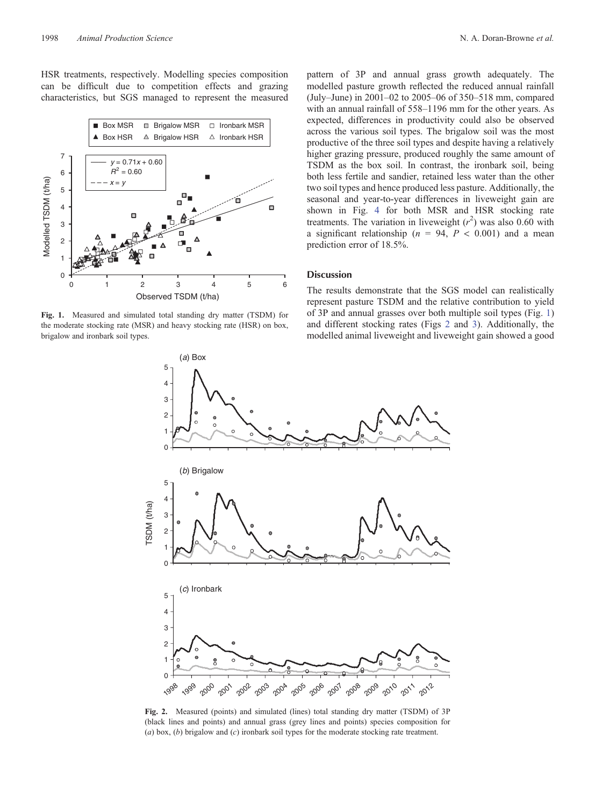<span id="page-3-0"></span>HSR treatments, respectively. Modelling species composition can be difficult due to competition effects and grazing characteristics, but SGS managed to represent the measured



**Fig. 1.** Measured and simulated total standing dry matter (TSDM) for the moderate stocking rate (MSR) and heavy stocking rate (HSR) on box, brigalow and ironbark soil types.

pattern of 3P and annual grass growth adequately. The modelled pasture growth reflected the reduced annual rainfall (July–June) in 2001–02 to 2005–06 of 350–518 mm, compared with an annual rainfall of 558–1196 mm for the other years. As expected, differences in productivity could also be observed across the various soil types. The brigalow soil was the most productive of the three soil types and despite having a relatively higher grazing pressure, produced roughly the same amount of TSDM as the box soil. In contrast, the ironbark soil, being both less fertile and sandier, retained less water than the other two soil types and hence produced less pasture. Additionally, the seasonal and year-to-year differences in liveweight gain are shown in Fig. [4](#page-4-0) for both MSR and HSR stocking rate treatments. The variation in liveweight  $(r^2)$  was also 0.60 with a significant relationship ( $n = 94$ ,  $P < 0.001$ ) and a mean prediction error of 18.5%.

## **Discussion**

The results demonstrate that the SGS model can realistically represent pasture TSDM and the relative contribution to yield of 3P and annual grasses over both multiple soil types (Fig. 1) and different stocking rates (Figs 2 and [3](#page-4-0)). Additionally, the modelled animal liveweight and liveweight gain showed a good



**Fig. 2.** Measured (points) and simulated (lines) total standing dry matter (TSDM) of 3P (black lines and points) and annual grass (grey lines and points) species composition for (*a*) box, (*b*) brigalow and (*c*) ironbark soil types for the moderate stocking rate treatment.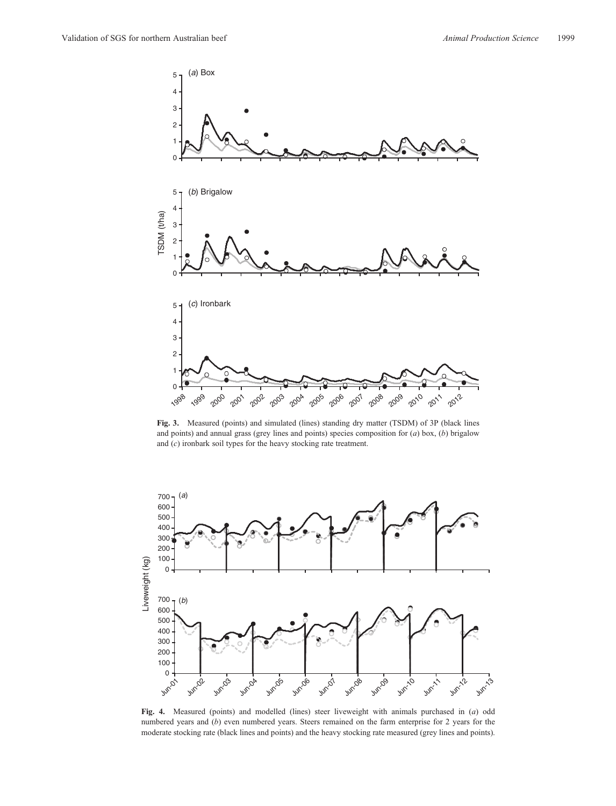<span id="page-4-0"></span>

**Fig. 3.** Measured (points) and simulated (lines) standing dry matter (TSDM) of 3P (black lines and points) and annual grass (grey lines and points) species composition for (*a*) box, (*b*) brigalow and (*c*) ironbark soil types for the heavy stocking rate treatment.



**Fig. 4.** Measured (points) and modelled (lines) steer liveweight with animals purchased in (*a*) odd numbered years and (*b*) even numbered years. Steers remained on the farm enterprise for 2 years for the moderate stocking rate (black lines and points) and the heavy stocking rate measured (grey lines and points).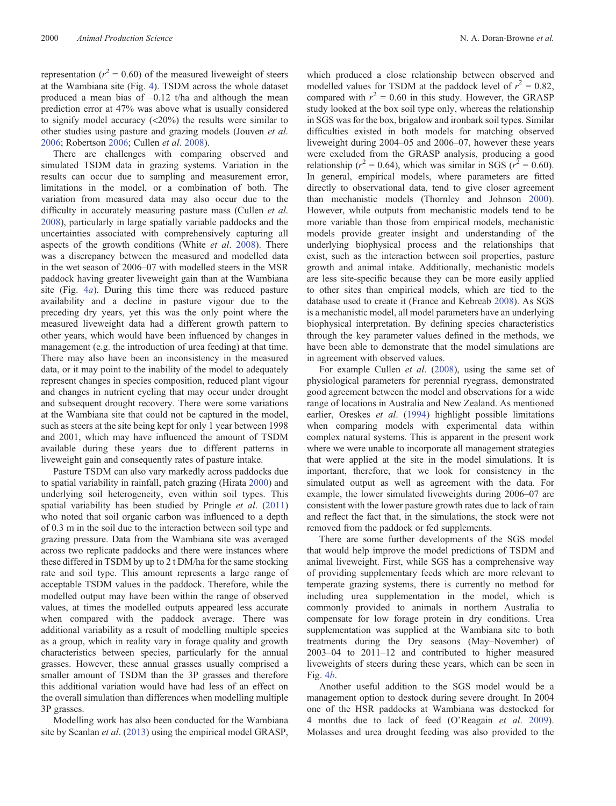representation ( $r^2 = 0.60$ ) of the measured liveweight of steers at the Wambiana site (Fig. [4\)](#page-4-0). TSDM across the whole dataset produced a mean bias of –0.12 t/ha and although the mean prediction error at 47% was above what is usually considered to signify model accuracy (<20%) the results were similar to other studies using pasture and grazing models (Jouven *et al*. [2006;](#page-7-0) Robertson [2006;](#page-7-0) Cullen *et al*. [2008](#page-6-0)).

There are challenges with comparing observed and simulated TSDM data in grazing systems. Variation in the results can occur due to sampling and measurement error, limitations in the model, or a combination of both. The variation from measured data may also occur due to the difficulty in accurately measuring pasture mass (Cullen *et al*. [2008\)](#page-6-0), particularly in large spatially variable paddocks and the uncertainties associated with comprehensively capturing all aspects of the growth conditions (White *et al*. [2008](#page-7-0)). There was a discrepancy between the measured and modelled data in the wet season of 2006–07 with modelled steers in the MSR paddock having greater liveweight gain than at the Wambiana site (Fig. [4](#page-4-0)*a*). During this time there was reduced pasture availability and a decline in pasture vigour due to the preceding dry years, yet this was the only point where the measured liveweight data had a different growth pattern to other years, which would have been influenced by changes in management (e.g. the introduction of urea feeding) at that time. There may also have been an inconsistency in the measured data, or it may point to the inability of the model to adequately represent changes in species composition, reduced plant vigour and changes in nutrient cycling that may occur under drought and subsequent drought recovery. There were some variations at the Wambiana site that could not be captured in the model, such as steers at the site being kept for only 1 year between 1998 and 2001, which may have influenced the amount of TSDM available during these years due to different patterns in liveweight gain and consequently rates of pasture intake.

Pasture TSDM can also vary markedly across paddocks due to spatial variability in rainfall, patch grazing (Hirata [2000\)](#page-7-0) and underlying soil heterogeneity, even within soil types. This spatial variability has been studied by Pringle *et al*. ([2011\)](#page-7-0) who noted that soil organic carbon was influenced to a depth of 0.3 m in the soil due to the interaction between soil type and grazing pressure. Data from the Wambiana site was averaged across two replicate paddocks and there were instances where these differed in TSDM by up to 2 t DM/ha for the same stocking rate and soil type. This amount represents a large range of acceptable TSDM values in the paddock. Therefore, while the modelled output may have been within the range of observed values, at times the modelled outputs appeared less accurate when compared with the paddock average. There was additional variability as a result of modelling multiple species as a group, which in reality vary in forage quality and growth characteristics between species, particularly for the annual grasses. However, these annual grasses usually comprised a smaller amount of TSDM than the 3P grasses and therefore this additional variation would have had less of an effect on the overall simulation than differences when modelling multiple 3P grasses.

Modelling work has also been conducted for the Wambiana site by Scanlan *et al*. [\(2013](#page-7-0)) using the empirical model GRASP,

which produced a close relationship between observed and modelled values for TSDM at the paddock level of  $r^2 = 0.82$ , compared with  $r^2 = 0.60$  in this study. However, the GRASP study looked at the box soil type only, whereas the relationship in SGS was for the box, brigalow and ironbark soil types. Similar difficulties existed in both models for matching observed liveweight during 2004–05 and 2006–07, however these years were excluded from the GRASP analysis, producing a good relationship ( $r^2 = 0.64$ ), which was similar in SGS ( $r^2 = 0.60$ ). In general, empirical models, where parameters are fitted directly to observational data, tend to give closer agreement than mechanistic models (Thornley and Johnson [2000](#page-7-0)). However, while outputs from mechanistic models tend to be more variable than those from empirical models, mechanistic models provide greater insight and understanding of the underlying biophysical process and the relationships that exist, such as the interaction between soil properties, pasture growth and animal intake. Additionally, mechanistic models are less site-specific because they can be more easily applied to other sites than empirical models, which are tied to the database used to create it (France and Kebreab [2008\)](#page-6-0). As SGS is a mechanistic model, all model parameters have an underlying biophysical interpretation. By defining species characteristics through the key parameter values defined in the methods, we have been able to demonstrate that the model simulations are in agreement with observed values.

For example Cullen *et al*. ([2008\)](#page-6-0), using the same set of physiological parameters for perennial ryegrass, demonstrated good agreement between the model and observations for a wide range of locations in Australia and New Zealand. As mentioned earlier, Oreskes *et al*. [\(1994](#page-7-0)) highlight possible limitations when comparing models with experimental data within complex natural systems. This is apparent in the present work where we were unable to incorporate all management strategies that were applied at the site in the model simulations. It is important, therefore, that we look for consistency in the simulated output as well as agreement with the data. For example, the lower simulated liveweights during 2006–07 are consistent with the lower pasture growth rates due to lack of rain and reflect the fact that, in the simulations, the stock were not removed from the paddock or fed supplements.

There are some further developments of the SGS model that would help improve the model predictions of TSDM and animal liveweight. First, while SGS has a comprehensive way of providing supplementary feeds which are more relevant to temperate grazing systems, there is currently no method for including urea supplementation in the model, which is commonly provided to animals in northern Australia to compensate for low forage protein in dry conditions. Urea supplementation was supplied at the Wambiana site to both treatments during the Dry seasons (May–November) of 2003–04 to 2011–12 and contributed to higher measured liveweights of steers during these years, which can be seen in Fig. [4](#page-4-0)*b*.

Another useful addition to the SGS model would be a management option to destock during severe drought. In 2004 one of the HSR paddocks at Wambiana was destocked for 4 months due to lack of feed (O'Reagain *et al*. [2009](#page-7-0)). Molasses and urea drought feeding was also provided to the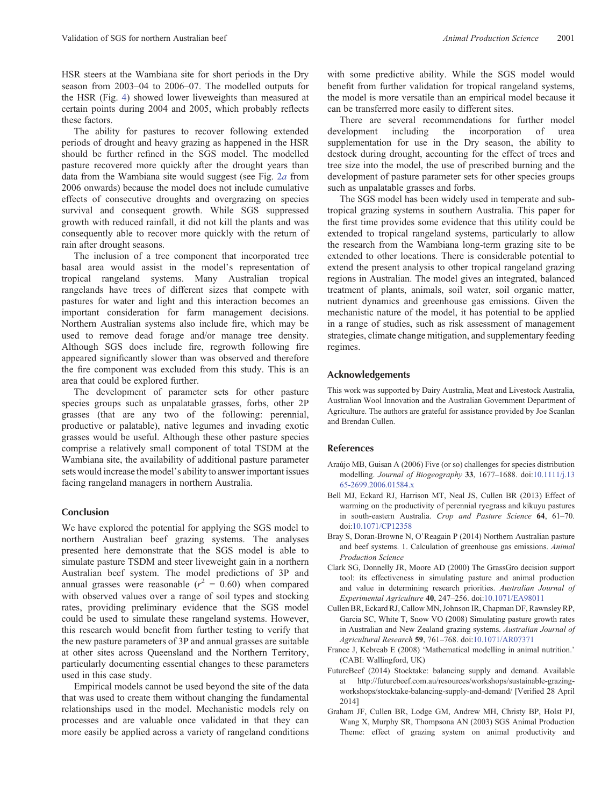<span id="page-6-0"></span>HSR steers at the Wambiana site for short periods in the Dry season from 2003–04 to 2006–07. The modelled outputs for the HSR (Fig. [4\)](#page-4-0) showed lower liveweights than measured at certain points during 2004 and 2005, which probably reflects these factors.

The ability for pastures to recover following extended periods of drought and heavy grazing as happened in the HSR should be further refined in the SGS model. The modelled pasture recovered more quickly after the drought years than data from the Wambiana site would suggest (see Fig. [2](#page-3-0)*a* from 2006 onwards) because the model does not include cumulative effects of consecutive droughts and overgrazing on species survival and consequent growth. While SGS suppressed growth with reduced rainfall, it did not kill the plants and was consequently able to recover more quickly with the return of rain after drought seasons.

The inclusion of a tree component that incorporated tree basal area would assist in the model's representation of tropical rangeland systems. Many Australian tropical rangelands have trees of different sizes that compete with pastures for water and light and this interaction becomes an important consideration for farm management decisions. Northern Australian systems also include fire, which may be used to remove dead forage and/or manage tree density. Although SGS does include fire, regrowth following fire appeared significantly slower than was observed and therefore the fire component was excluded from this study. This is an area that could be explored further.

The development of parameter sets for other pasture species groups such as unpalatable grasses, forbs, other 2P grasses (that are any two of the following: perennial, productive or palatable), native legumes and invading exotic grasses would be useful. Although these other pasture species comprise a relatively small component of total TSDM at the Wambiana site, the availability of additional pasture parameter sets would increase the model's ability to answer important issues facing rangeland managers in northern Australia.

# **Conclusion**

We have explored the potential for applying the SGS model to northern Australian beef grazing systems. The analyses presented here demonstrate that the SGS model is able to simulate pasture TSDM and steer liveweight gain in a northern Australian beef system. The model predictions of 3P and annual grasses were reasonable  $(r^2 = 0.60)$  when compared with observed values over a range of soil types and stocking rates, providing preliminary evidence that the SGS model could be used to simulate these rangeland systems. However, this research would benefit from further testing to verify that the new pasture parameters of 3P and annual grasses are suitable at other sites across Queensland and the Northern Territory, particularly documenting essential changes to these parameters used in this case study.

Empirical models cannot be used beyond the site of the data that was used to create them without changing the fundamental relationships used in the model. Mechanistic models rely on processes and are valuable once validated in that they can more easily be applied across a variety of rangeland conditions

with some predictive ability. While the SGS model would benefit from further validation for tropical rangeland systems, the model is more versatile than an empirical model because it can be transferred more easily to different sites.

There are several recommendations for further model<br>velopment including the incorporation of urea development including the incorporation of urea supplementation for use in the Dry season, the ability to destock during drought, accounting for the effect of trees and tree size into the model, the use of prescribed burning and the development of pasture parameter sets for other species groups such as unpalatable grasses and forbs.

The SGS model has been widely used in temperate and subtropical grazing systems in southern Australia. This paper for the first time provides some evidence that this utility could be extended to tropical rangeland systems, particularly to allow the research from the Wambiana long-term grazing site to be extended to other locations. There is considerable potential to extend the present analysis to other tropical rangeland grazing regions in Australian. The model gives an integrated, balanced treatment of plants, animals, soil water, soil organic matter, nutrient dynamics and greenhouse gas emissions. Given the mechanistic nature of the model, it has potential to be applied in a range of studies, such as risk assessment of management strategies, climate change mitigation, and supplementary feeding regimes.

## **Acknowledgements**

This work was supported by Dairy Australia, Meat and Livestock Australia, Australian Wool Innovation and the Australian Government Department of Agriculture. The authors are grateful for assistance provided by Joe Scanlan and Brendan Cullen.

# **References**

- Araújo MB, Guisan A (2006) Five (or so) challenges for species distribution modelling. *Journal of Biogeography* **33**, 1677–1688. doi:[10.1111/j.13](dx.doi.org/10.1111/j.1365-2699.2006.01584.x) [65-2699.2006.01584.x](dx.doi.org/10.1111/j.1365-2699.2006.01584.x)
- Bell MJ, Eckard RJ, Harrison MT, Neal JS, Cullen BR (2013) Effect of warming on the productivity of perennial ryegrass and kikuyu pastures in south-eastern Australia. *Crop and Pasture Science* **64**, 61–70. doi:[10.1071/CP12358](dx.doi.org/10.1071/CP12358)
- Bray S, Doran-Browne N, O'Reagain P (2014) Northern Australian pasture and beef systems. 1. Calculation of greenhouse gas emissions. *Animal Production Science*
- Clark SG, Donnelly JR, Moore AD (2000) The GrassGro decision support tool: its effectiveness in simulating pasture and animal production and value in determining research priorities. *Australian Journal of Experimental Agriculture* **40**, 247–256. doi[:10.1071/EA98011](dx.doi.org/10.1071/EA98011)
- Cullen BR, Eckard RJ, Callow MN, Johnson IR, Chapman DF, Rawnsley RP, Garcia SC, White T, Snow VO (2008) Simulating pasture growth rates in Australian and New Zealand grazing systems. *Australian Journal of Agricultural Research* **59**, 761–768. doi:[10.1071/AR07371](dx.doi.org/10.1071/AR07371)
- France J, Kebreab E (2008) 'Mathematical modelling in animal nutrition.' (CABI: Wallingford, UK)
- FutureBeef (2014) Stocktake: balancing supply and demand. Available at [http://futurebeef.com.au/resources/workshops/sustainable-grazing](http://futurebeef.com.au/resources/workshops/sustainable-grazing-workshops/stocktake-balancing-supply-and-demand/)[workshops/stocktake-balancing-supply-and-demand/](http://futurebeef.com.au/resources/workshops/sustainable-grazing-workshops/stocktake-balancing-supply-and-demand/) [Verified 28 April 2014]
- Graham JF, Cullen BR, Lodge GM, Andrew MH, Christy BP, Holst PJ, Wang X, Murphy SR, Thompsona AN (2003) SGS Animal Production Theme: effect of grazing system on animal productivity and